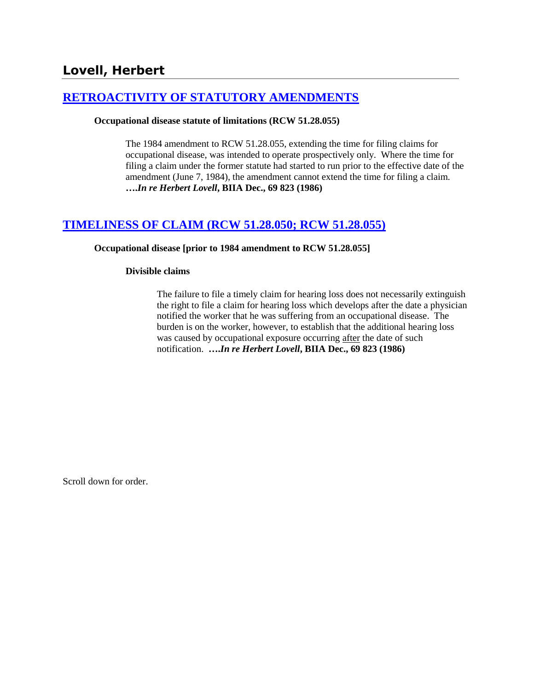# **[RETROACTIVITY OF STATUTORY AMENDMENTS](http://www.biia.wa.gov/SDSubjectIndex.html#RETROACTIVITY_OF_STATUTORY_AMENDMENTS)**

#### **Occupational disease statute of limitations (RCW 51.28.055)**

The 1984 amendment to RCW 51.28.055, extending the time for filing claims for occupational disease, was intended to operate prospectively only. Where the time for filing a claim under the former statute had started to run prior to the effective date of the amendment (June 7, 1984), the amendment cannot extend the time for filing a claim. **….***In re Herbert Lovell***, BIIA Dec., 69 823 (1986)** 

# **[TIMELINESS OF CLAIM \(RCW 51.28.050; RCW 51.28.055\)](http://www.biia.wa.gov/SDSubjectIndex.html#TIMELINESS_OF_CLAIM)**

#### **Occupational disease [prior to 1984 amendment to RCW 51.28.055]**

#### **Divisible claims**

The failure to file a timely claim for hearing loss does not necessarily extinguish the right to file a claim for hearing loss which develops after the date a physician notified the worker that he was suffering from an occupational disease. The burden is on the worker, however, to establish that the additional hearing loss was caused by occupational exposure occurring after the date of such notification. **….***In re Herbert Lovell***, BIIA Dec., 69 823 (1986)**

Scroll down for order.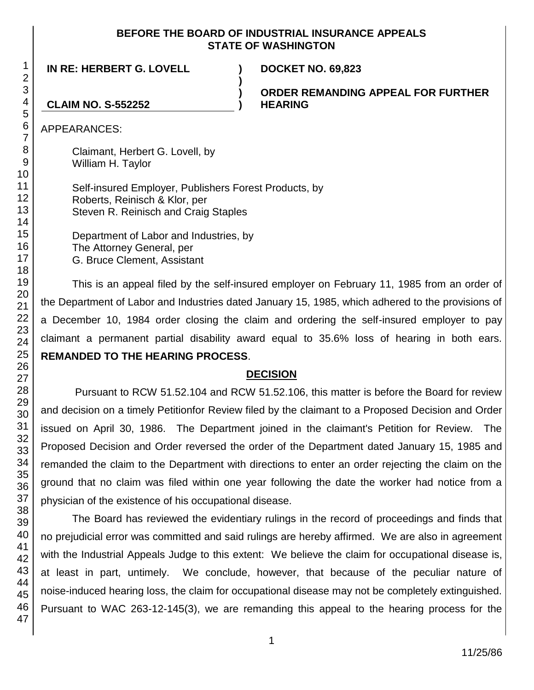### **BEFORE THE BOARD OF INDUSTRIAL INSURANCE APPEALS STATE OF WASHINGTON**

**)**

**) )**

**IN RE: HERBERT G. LOVELL ) DOCKET NO. 69,823**

**ORDER REMANDING APPEAL FOR FURTHER HEARING**

### **CLAIM NO. S-552252**

APPEARANCES:

Claimant, Herbert G. Lovell, by William H. Taylor

Self-insured Employer, Publishers Forest Products, by Roberts, Reinisch & Klor, per Steven R. Reinisch and Craig Staples

Department of Labor and Industries, by The Attorney General, per G. Bruce Clement, Assistant

This is an appeal filed by the self-insured employer on February 11, 1985 from an order of the Department of Labor and Industries dated January 15, 1985, which adhered to the provisions of a December 10, 1984 order closing the claim and ordering the self-insured employer to pay claimant a permanent partial disability award equal to 35.6% loss of hearing in both ears. **REMANDED TO THE HEARING PROCESS**.

## **DECISION**

Pursuant to RCW 51.52.104 and RCW 51.52.106, this matter is before the Board for review and decision on a timely Petitionfor Review filed by the claimant to a Proposed Decision and Order issued on April 30, 1986. The Department joined in the claimant's Petition for Review. The Proposed Decision and Order reversed the order of the Department dated January 15, 1985 and remanded the claim to the Department with directions to enter an order rejecting the claim on the ground that no claim was filed within one year following the date the worker had notice from a physician of the existence of his occupational disease.

The Board has reviewed the evidentiary rulings in the record of proceedings and finds that no prejudicial error was committed and said rulings are hereby affirmed. We are also in agreement with the Industrial Appeals Judge to this extent: We believe the claim for occupational disease is, at least in part, untimely. We conclude, however, that because of the peculiar nature of noise-induced hearing loss, the claim for occupational disease may not be completely extinguished. Pursuant to WAC 263-12-145(3), we are remanding this appeal to the hearing process for the

1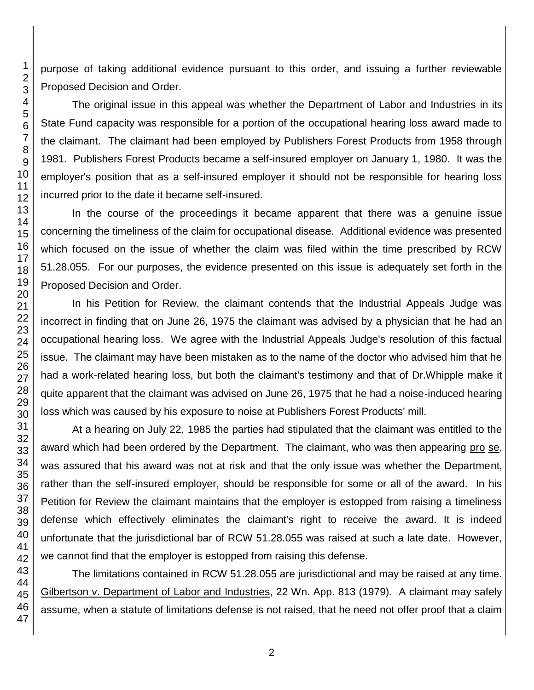purpose of taking additional evidence pursuant to this order, and issuing a further reviewable Proposed Decision and Order.

The original issue in this appeal was whether the Department of Labor and Industries in its State Fund capacity was responsible for a portion of the occupational hearing loss award made to the claimant. The claimant had been employed by Publishers Forest Products from 1958 through 1981. Publishers Forest Products became a self-insured employer on January 1, 1980. It was the employer's position that as a self-insured employer it should not be responsible for hearing loss incurred prior to the date it became self-insured.

In the course of the proceedings it became apparent that there was a genuine issue concerning the timeliness of the claim for occupational disease. Additional evidence was presented which focused on the issue of whether the claim was filed within the time prescribed by RCW 51.28.055. For our purposes, the evidence presented on this issue is adequately set forth in the Proposed Decision and Order.

In his Petition for Review, the claimant contends that the Industrial Appeals Judge was incorrect in finding that on June 26, 1975 the claimant was advised by a physician that he had an occupational hearing loss. We agree with the Industrial Appeals Judge's resolution of this factual issue. The claimant may have been mistaken as to the name of the doctor who advised him that he had a work-related hearing loss, but both the claimant's testimony and that of Dr.Whipple make it quite apparent that the claimant was advised on June 26, 1975 that he had a noise-induced hearing loss which was caused by his exposure to noise at Publishers Forest Products' mill.

At a hearing on July 22, 1985 the parties had stipulated that the claimant was entitled to the award which had been ordered by the Department. The claimant, who was then appearing pro se, was assured that his award was not at risk and that the only issue was whether the Department, rather than the self-insured employer, should be responsible for some or all of the award. In his Petition for Review the claimant maintains that the employer is estopped from raising a timeliness defense which effectively eliminates the claimant's right to receive the award. It is indeed unfortunate that the jurisdictional bar of RCW 51.28.055 was raised at such a late date. However, we cannot find that the employer is estopped from raising this defense.

The limitations contained in RCW 51.28.055 are jurisdictional and may be raised at any time. Gilbertson v. Department of Labor and Industries, 22 Wn. App. 813 (1979). A claimant may safely assume, when a statute of limitations defense is not raised, that he need not offer proof that a claim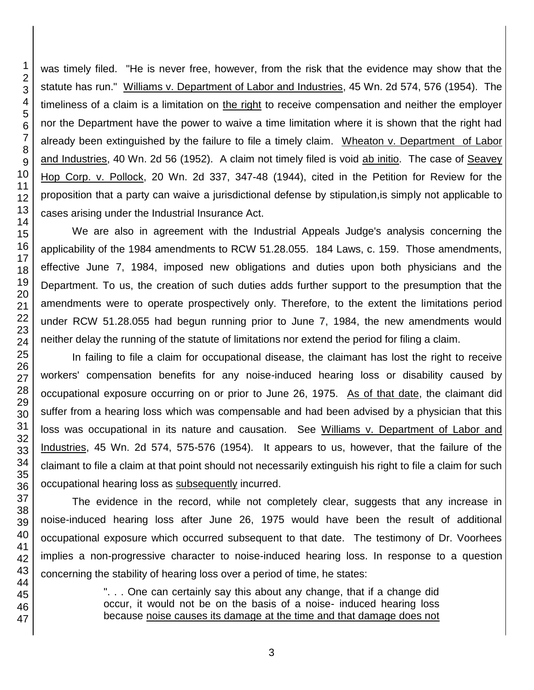was timely filed. "He is never free, however, from the risk that the evidence may show that the statute has run." Williams v. Department of Labor and Industries, 45 Wn. 2d 574, 576 (1954). The timeliness of a claim is a limitation on the right to receive compensation and neither the employer nor the Department have the power to waive a time limitation where it is shown that the right had already been extinguished by the failure to file a timely claim. Wheaton v. Department of Labor and Industries, 40 Wn. 2d 56 (1952). A claim not timely filed is void ab initio. The case of Seavey Hop Corp. v. Pollock, 20 Wn. 2d 337, 347-48 (1944), cited in the Petition for Review for the proposition that a party can waive a jurisdictional defense by stipulation,is simply not applicable to cases arising under the Industrial Insurance Act.

We are also in agreement with the Industrial Appeals Judge's analysis concerning the applicability of the 1984 amendments to RCW 51.28.055. 184 Laws, c. 159. Those amendments, effective June 7, 1984, imposed new obligations and duties upon both physicians and the Department. To us, the creation of such duties adds further support to the presumption that the amendments were to operate prospectively only. Therefore, to the extent the limitations period under RCW 51.28.055 had begun running prior to June 7, 1984, the new amendments would neither delay the running of the statute of limitations nor extend the period for filing a claim.

In failing to file a claim for occupational disease, the claimant has lost the right to receive workers' compensation benefits for any noise-induced hearing loss or disability caused by occupational exposure occurring on or prior to June 26, 1975. As of that date, the claimant did suffer from a hearing loss which was compensable and had been advised by a physician that this loss was occupational in its nature and causation. See Williams v. Department of Labor and Industries, 45 Wn. 2d 574, 575-576 (1954). It appears to us, however, that the failure of the claimant to file a claim at that point should not necessarily extinguish his right to file a claim for such occupational hearing loss as subsequently incurred.

The evidence in the record, while not completely clear, suggests that any increase in noise-induced hearing loss after June 26, 1975 would have been the result of additional occupational exposure which occurred subsequent to that date. The testimony of Dr. Voorhees implies a non-progressive character to noise-induced hearing loss. In response to a question concerning the stability of hearing loss over a period of time, he states:

> ". . . One can certainly say this about any change, that if a change did occur, it would not be on the basis of a noise- induced hearing loss because noise causes its damage at the time and that damage does not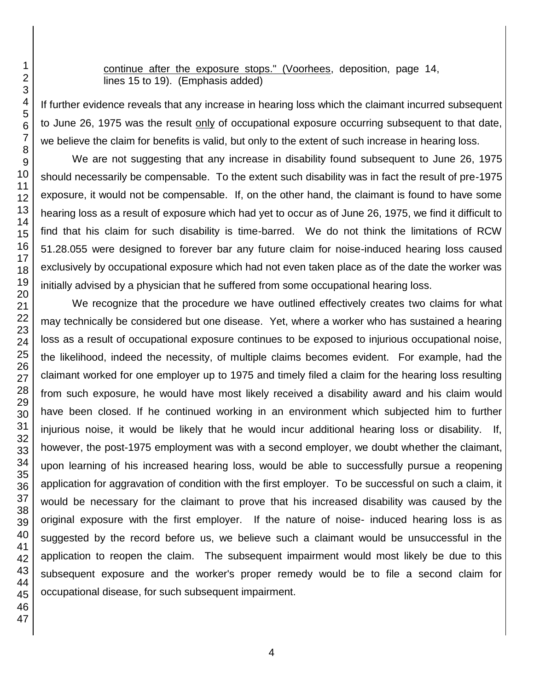continue after the exposure stops." (Voorhees, deposition, page 14, lines 15 to 19). (Emphasis added)

If further evidence reveals that any increase in hearing loss which the claimant incurred subsequent to June 26, 1975 was the result only of occupational exposure occurring subsequent to that date, we believe the claim for benefits is valid, but only to the extent of such increase in hearing loss.

We are not suggesting that any increase in disability found subsequent to June 26, 1975 should necessarily be compensable. To the extent such disability was in fact the result of pre-1975 exposure, it would not be compensable. If, on the other hand, the claimant is found to have some hearing loss as a result of exposure which had yet to occur as of June 26, 1975, we find it difficult to find that his claim for such disability is time-barred. We do not think the limitations of RCW 51.28.055 were designed to forever bar any future claim for noise-induced hearing loss caused exclusively by occupational exposure which had not even taken place as of the date the worker was initially advised by a physician that he suffered from some occupational hearing loss.

We recognize that the procedure we have outlined effectively creates two claims for what may technically be considered but one disease. Yet, where a worker who has sustained a hearing loss as a result of occupational exposure continues to be exposed to injurious occupational noise, the likelihood, indeed the necessity, of multiple claims becomes evident. For example, had the claimant worked for one employer up to 1975 and timely filed a claim for the hearing loss resulting from such exposure, he would have most likely received a disability award and his claim would have been closed. If he continued working in an environment which subjected him to further injurious noise, it would be likely that he would incur additional hearing loss or disability. If, however, the post-1975 employment was with a second employer, we doubt whether the claimant, upon learning of his increased hearing loss, would be able to successfully pursue a reopening application for aggravation of condition with the first employer. To be successful on such a claim, it would be necessary for the claimant to prove that his increased disability was caused by the original exposure with the first employer. If the nature of noise- induced hearing loss is as suggested by the record before us, we believe such a claimant would be unsuccessful in the application to reopen the claim. The subsequent impairment would most likely be due to this subsequent exposure and the worker's proper remedy would be to file a second claim for occupational disease, for such subsequent impairment.